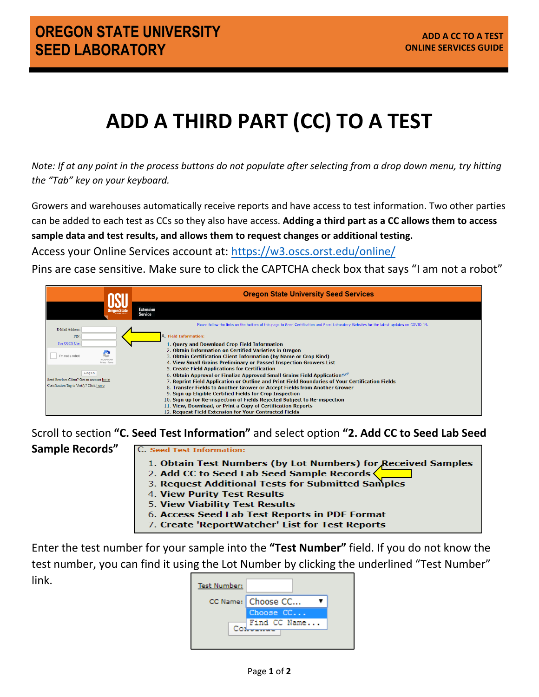## **ADD A THIRD PART (CC) TO A TEST**

*Note: If at any point in the process buttons do not populate after selecting from a drop down menu, try hitting the "Tab" key on your keyboard.*

Growers and warehouses automatically receive reports and have access to test information. Two other parties can be added to each test as CCs so they also have access. **Adding a third part as a CC allows them to access sample data and test results, and allows them to request changes or additional testing.** 

Access your Online Services account at:<https://w3.oscs.orst.edu/online/>

Pins are case sensitive. Make sure to click the CAPTCHA check box that says "I am not a robot"



Scroll to section **"C. Seed Test Information"** and select option **"2. Add CC to Seed Lab Seed** 

**Sample Records"**

C. Seed Test Information:

- 1. Obtain Test Numbers (by Lot Numbers) for Received Samples
- 2. Add CC to Seed Lab Seed Sample Records
- 3. Request Additional Tests for Submitted Samples
- 4. View Purity Test Results
- 5. View Viability Test Results
- 6. Access Seed Lab Test Reports in PDF Format
- 7. Create 'ReportWatcher' List for Test Reports

Enter the test number for your sample into the **"Test Number"** field. If you do not know the test number, you can find it using the Lot Number by clicking the underlined "Test Number" link.

| <b>Test Number:</b> |                    |
|---------------------|--------------------|
|                     | CC Name: Choose CC |
|                     | Choose CC          |
|                     | Find CC Name       |
|                     |                    |
|                     |                    |